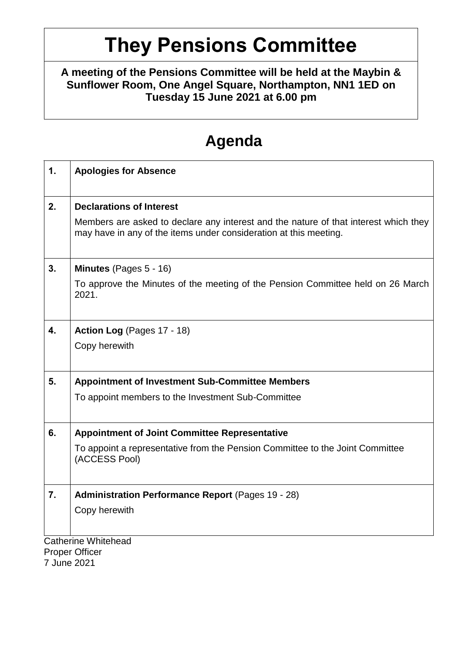# **They Pensions Committee**

**A meeting of the Pensions Committee will be held at the Maybin & Sunflower Room, One Angel Square, Northampton, NN1 1ED on Tuesday 15 June 2021 at 6.00 pm**

## **Agenda**

| $\mathbf 1$ . | <b>Apologies for Absence</b>                                                                                                                              |  |
|---------------|-----------------------------------------------------------------------------------------------------------------------------------------------------------|--|
| 2.            | <b>Declarations of Interest</b>                                                                                                                           |  |
|               | Members are asked to declare any interest and the nature of that interest which they<br>may have in any of the items under consideration at this meeting. |  |
| 3.            | Minutes (Pages 5 - 16)                                                                                                                                    |  |
|               | To approve the Minutes of the meeting of the Pension Committee held on 26 March<br>2021.                                                                  |  |
| 4.            | Action Log (Pages 17 - 18)                                                                                                                                |  |
|               | Copy herewith                                                                                                                                             |  |
| 5.            | <b>Appointment of Investment Sub-Committee Members</b>                                                                                                    |  |
|               | To appoint members to the Investment Sub-Committee                                                                                                        |  |
| 6.            | <b>Appointment of Joint Committee Representative</b>                                                                                                      |  |
|               | To appoint a representative from the Pension Committee to the Joint Committee<br>(ACCESS Pool)                                                            |  |
| 7.            | <b>Administration Performance Report (Pages 19 - 28)</b>                                                                                                  |  |
|               | Copy herewith                                                                                                                                             |  |
|               | <b>Catherine Whitehead</b>                                                                                                                                |  |

Proper Officer

7 June 2021